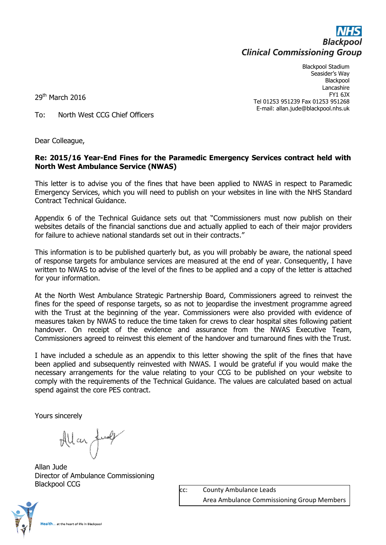

Blackpool Stadium Seasider's Way **Blackpool** Lancashire FY1 6JX Tel 01253 951239 Fax 01253 951268 E-mail: allan.jude@blackpool.nhs.uk

29<sup>th</sup> March 2016

To: North West CCG Chief Officers

Dear Colleague,

## **Re: 2015/16 Year-End Fines for the Paramedic Emergency Services contract held with North West Ambulance Service (NWAS)**

This letter is to advise you of the fines that have been applied to NWAS in respect to Paramedic Emergency Services, which you will need to publish on your websites in line with the NHS Standard Contract Technical Guidance.

Appendix 6 of the Technical Guidance sets out that "Commissioners must now publish on their websites details of the financial sanctions due and actually applied to each of their major providers for failure to achieve national standards set out in their contracts."

This information is to be published quarterly but, as you will probably be aware, the national speed of response targets for ambulance services are measured at the end of year. Consequently, I have written to NWAS to advise of the level of the fines to be applied and a copy of the letter is attached for your information.

At the North West Ambulance Strategic Partnership Board, Commissioners agreed to reinvest the fines for the speed of response targets, so as not to jeopardise the investment programme agreed with the Trust at the beginning of the year. Commissioners were also provided with evidence of measures taken by NWAS to reduce the time taken for crews to clear hospital sites following patient handover. On receipt of the evidence and assurance from the NWAS Executive Team, Commissioners agreed to reinvest this element of the handover and turnaround fines with the Trust.

I have included a schedule as an appendix to this letter showing the split of the fines that have been applied and subsequently reinvested with NWAS. I would be grateful if you would make the necessary arrangements for the value relating to your CCG to be published on your website to comply with the requirements of the Technical Guidance. The values are calculated based on actual spend against the core PES contract.

Yours sincerely

Allan Jul

Allan Jude Director of Ambulance Commissioning Blackpool CCG

cc: County Ambulance Leads Area Ambulance Commissioning Group Members